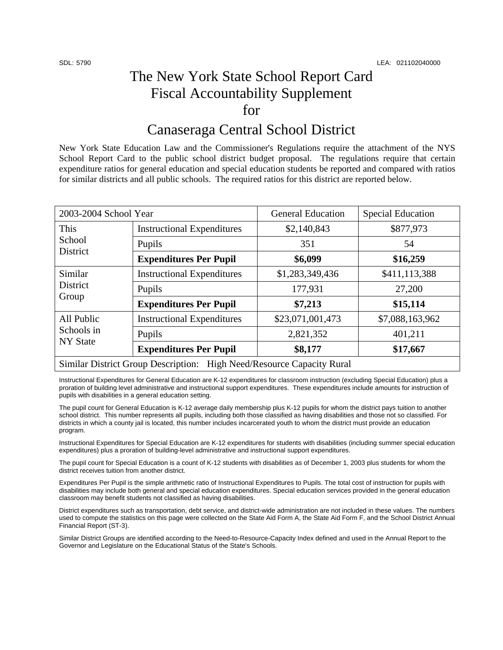## The New York State School Report Card Fiscal Accountability Supplement for

## Canaseraga Central School District

New York State Education Law and the Commissioner's Regulations require the attachment of the NYS School Report Card to the public school district budget proposal. The regulations require that certain expenditure ratios for general education and special education students be reported and compared with ratios for similar districts and all public schools. The required ratios for this district are reported below.

| 2003-2004 School Year                                                 |                                   | <b>General Education</b> | <b>Special Education</b> |  |
|-----------------------------------------------------------------------|-----------------------------------|--------------------------|--------------------------|--|
| This<br>School<br>District                                            | <b>Instructional Expenditures</b> | \$2,140,843              | \$877,973                |  |
|                                                                       | Pupils                            | 351                      | 54                       |  |
|                                                                       | <b>Expenditures Per Pupil</b>     | \$6,099                  | \$16,259                 |  |
| Similar<br>District<br>Group                                          | <b>Instructional Expenditures</b> | \$1,283,349,436          | \$411,113,388            |  |
|                                                                       | Pupils                            | 177,931                  | 27,200                   |  |
|                                                                       | <b>Expenditures Per Pupil</b>     | \$7,213                  | \$15,114                 |  |
| All Public<br>Schools in<br><b>NY State</b>                           | <b>Instructional Expenditures</b> | \$23,071,001,473         | \$7,088,163,962          |  |
|                                                                       | Pupils                            | 2,821,352                | 401,211                  |  |
|                                                                       | <b>Expenditures Per Pupil</b>     | \$8,177                  | \$17,667                 |  |
| Similar District Group Description: High Need/Resource Capacity Rural |                                   |                          |                          |  |

Instructional Expenditures for General Education are K-12 expenditures for classroom instruction (excluding Special Education) plus a proration of building level administrative and instructional support expenditures. These expenditures include amounts for instruction of pupils with disabilities in a general education setting.

The pupil count for General Education is K-12 average daily membership plus K-12 pupils for whom the district pays tuition to another school district. This number represents all pupils, including both those classified as having disabilities and those not so classified. For districts in which a county jail is located, this number includes incarcerated youth to whom the district must provide an education program.

Instructional Expenditures for Special Education are K-12 expenditures for students with disabilities (including summer special education expenditures) plus a proration of building-level administrative and instructional support expenditures.

The pupil count for Special Education is a count of K-12 students with disabilities as of December 1, 2003 plus students for whom the district receives tuition from another district.

Expenditures Per Pupil is the simple arithmetic ratio of Instructional Expenditures to Pupils. The total cost of instruction for pupils with disabilities may include both general and special education expenditures. Special education services provided in the general education classroom may benefit students not classified as having disabilities.

District expenditures such as transportation, debt service, and district-wide administration are not included in these values. The numbers used to compute the statistics on this page were collected on the State Aid Form A, the State Aid Form F, and the School District Annual Financial Report (ST-3).

Similar District Groups are identified according to the Need-to-Resource-Capacity Index defined and used in the Annual Report to the Governor and Legislature on the Educational Status of the State's Schools.